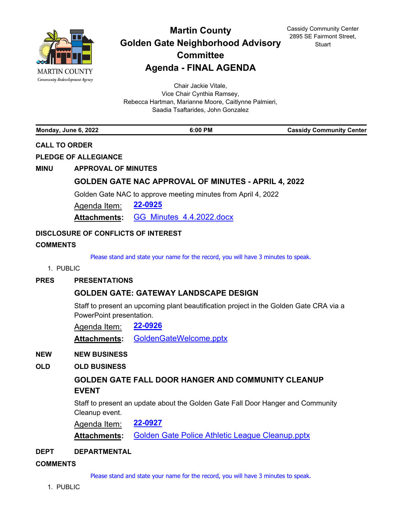

# **Martin County Golden Gate Neighborhood Advisory Committee Agenda - FINAL AGENDA**

Cassidy Community Center 2895 SE Fairmont Street, **Stuart** 

Chair Jackie Vitale, Vice Chair Cynthia Ramsey, Rebecca Hartman, Marianne Moore, Caitlynne Palmieri, Saadia Tsaftarides, John Gonzalez

**Monday, June 6, 2022 6:00 PM Cassidy Community Center**

# **CALL TO ORDER**

**PLEDGE OF ALLEGIANCE**

**MINU APPROVAL OF MINUTES**

# **[GOLDEN GATE NAC APPROVAL OF MINUTES - APRIL 4, 2022](http://martin.legistar.com/gateway.aspx?m=l&id=/matter.aspx?key=6286)**

Golden Gate NAC to approve meeting minutes from April 4, 2022

Agenda Item: **[22-0925](http://martin.legistar.com/gateway.aspx?m=l&id=/matter.aspx?key=6286)**

**Attachments:** [GG\\_Minutes\\_4.4.2022.docx](http://martin.legistar.com/gateway.aspx?M=F&ID=a3de302c-a630-4aa1-8456-11d5893514bf.docx)

# **DISCLOSURE OF CONFLICTS OF INTEREST**

# **COMMENTS**

Please stand and state your name for the record, you will have 3 minutes to speak.

#### 1. PUBLIC

# **PRES PRESENTATIONS**

# **[GOLDEN GATE: GATEWAY LANDSCAPE DESIGN](http://martin.legistar.com/gateway.aspx?m=l&id=/matter.aspx?key=6287)**

Staff to present an upcoming plant beautification project in the Golden Gate CRA via a PowerPoint presentation.

Agenda Item: **[22-0926](http://martin.legistar.com/gateway.aspx?m=l&id=/matter.aspx?key=6287)**

**Attachments:** [GoldenGateWelcome.pptx](http://martin.legistar.com/gateway.aspx?M=F&ID=a415a929-8d25-455c-bb7f-591ad3c70c87.pptx)

#### **NEW NEW BUSINESS**

# **OLD OLD BUSINESS**

# **[GOLDEN GATE FALL DOOR HANGER AND COMMUNITY CLEANUP](http://martin.legistar.com/gateway.aspx?m=l&id=/matter.aspx?key=6288)  EVENT**

Staff to present an update about the Golden Gate Fall Door Hanger and Community Cleanup event.

Agenda Item: **[22-0927](http://martin.legistar.com/gateway.aspx?m=l&id=/matter.aspx?key=6288)**

**Attachments:** [Golden Gate Police Athletic League Cleanup.pptx](http://martin.legistar.com/gateway.aspx?M=F&ID=3b3f5700-b61b-4f86-bcc5-c846dcba9bde.pptx)

#### **DEPT DEPARTMENTAL**

#### **COMMENTS**

Please stand and state your name for the record, you will have 3 minutes to speak.

1. PUBLIC